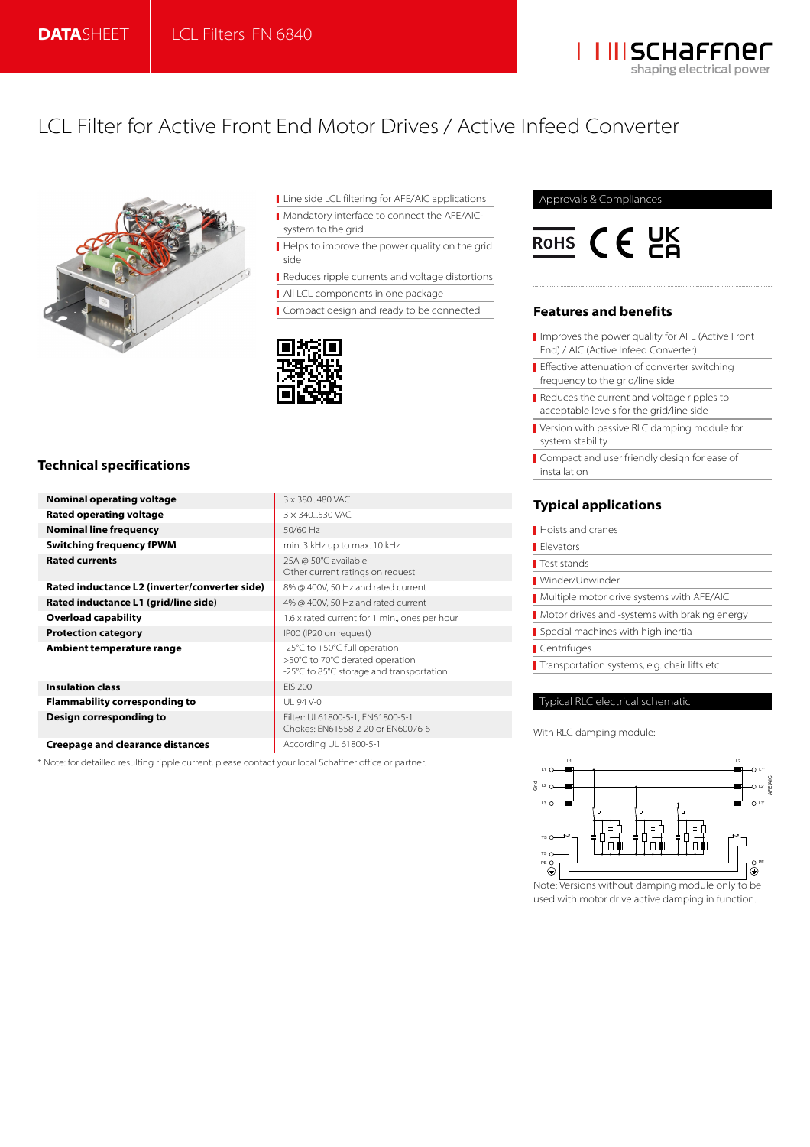

# LCL Filter for Active Front End Motor Drives / Active Infeed Converter



**Line side LCL filtering for AFE/AIC applications** Mandatory interface to connect the AFE/AICsystem to the grid

Helps to improve the power quality on the grid side

Reduces ripple currents and voltage distortions

All LCL components in one package

Other current ratings on request

>50°C to 70°C derated operation -25°C to 85°C storage and transportation

Chokes: EN61558-2-20 or EN60076-6

Compact design and ready to be connected



# **Technical specifications**

**Nominal operating voltage 3 x 380...480 VAC Rated operating voltage 1974 3**  $\times$  340...530 VAC **Nominal line frequency 1999 12 SO/60 Hz Switching frequency fPWM** min. 3 kHz up to max. 10 kHz **Rated currents** 25A @ 50°C available

**Rated inductance L2 (inverter/converter side)** 8% @ 400V, 50 Hz and rated current **Rated inductance L1 (grid/line side)** 4% @ 400V, 50 Hz and rated current **Overload capability Overload capability** 1.6 x rated current for 1 min., ones per hour **Protection category IP00 (IP20 on request) Ambient temperature range**  $\left| \begin{array}{l} -25^{\circ}\text{C} \text{ to } +50^{\circ}\text{C} \text{ full operation} \end{array} \right|$ 

**Insulation class EIS** 200 **Flammability corresponding to**  $\vert$  **UL 94 V-0 Design corresponding to Filter: UL61800-5-1, EN61800-5-1** 

**Creepage and clearance distances** According UL 61800-5-1

\* Note: for detailled resulting ripple current, please contact your local Schaffner office or partner.

## Approvals & Compliances



## **Features and benefits**

- I Improves the power quality for AFE (Active Front End) / AIC (Active Infeed Converter)
- **Effective attenuation of converter switching** frequency to the grid/line side
- Reduces the current and voltage ripples to acceptable levels for the grid/line side
- Version with passive RLC damping module for system stability
- Compact and user friendly design for ease of installation

# **Typical applications**

| Hoists and cranes                             |
|-----------------------------------------------|
| Flevators                                     |
| Test stands                                   |
| Winder/Unwinder                               |
| Multiple motor drive systems with AFE/AIC     |
| Motor drives and -systems with braking energy |
| Special machines with high inertia            |
| Centrifuges                                   |
| Transportation systems, e.g. chair lifts etc  |
|                                               |

## Typical RLC electrical schematic

With RLC damping module:



Note: Versions without damping module only to be used with motor drive active damping in function.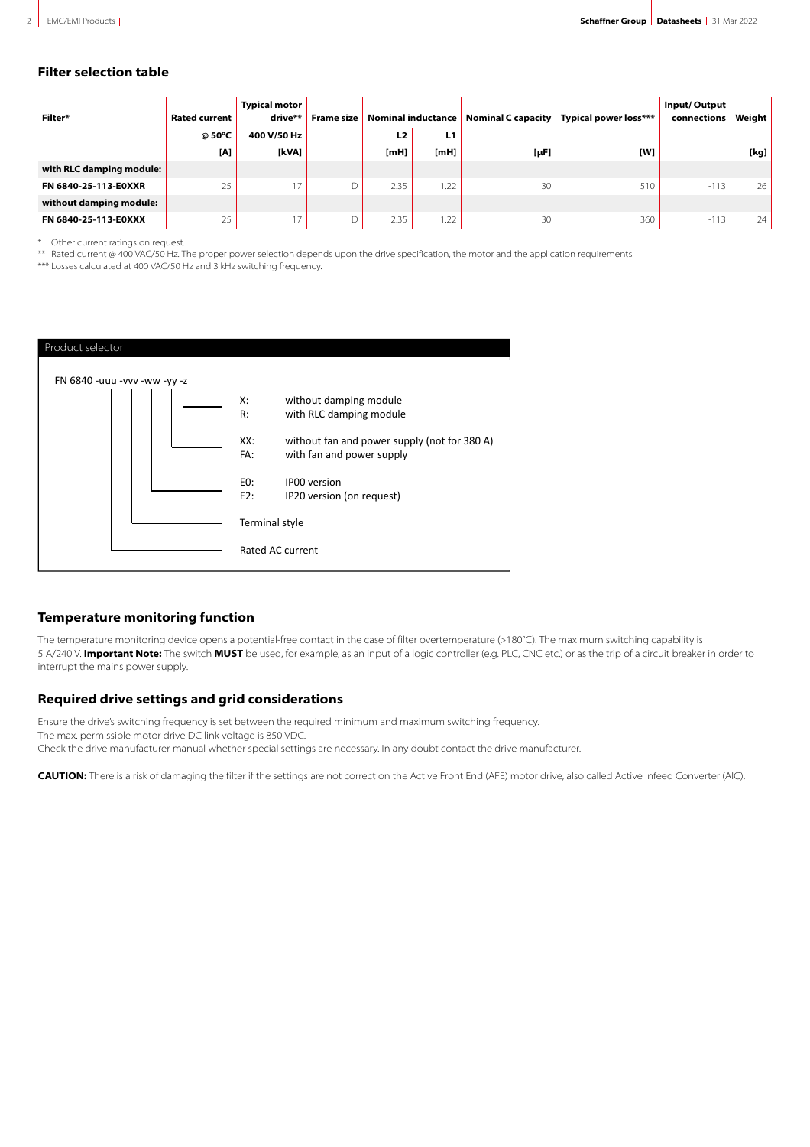# **Filter selection table**

| Filter*                  | <b>Rated current</b> | <b>Typical motor</b><br>drive** | <b>Frame size</b> | Nominal inductance |            |           | Nominal C capacity   Typical power loss*** | Input/Output<br>connections | Weight |
|--------------------------|----------------------|---------------------------------|-------------------|--------------------|------------|-----------|--------------------------------------------|-----------------------------|--------|
|                          | @ 50°C               | 400 V/50 Hz                     |                   | L <sub>2</sub>     | L1         |           |                                            |                             |        |
|                          | [A]                  | [kVA]                           |                   | [ <b>mH</b> ]      | $[m$ H $]$ | $[\mu F]$ | [W]                                        |                             | [kg]   |
| with RLC damping module: |                      |                                 |                   |                    |            |           |                                            |                             |        |
| FN 6840-25-113-E0XXR     | 25                   | 17                              | D                 | 2.35               | .22        | 30        | 510                                        | $-113$                      | 26     |
| without damping module:  |                      |                                 |                   |                    |            |           |                                            |                             |        |
| FN 6840-25-113-E0XXX     | 25                   | 17                              | D                 | 2.35               | .22        | 30        | 360                                        | $-113$                      | 24     |

\*\*\* Other current ratings on request.

\*\*\* Rated current @ 400 VAC/50 Hz. The proper power selection depends upon the drive specification, the motor and the application requirements.

\*\*\* Losses calculated at 400 VAC/50 Hz and 3 kHz switching frequency.



# **Temperature monitoring function**

The temperature monitoring device opens a potential-free contact in the case of filter overtemperature (>180°C). The maximum switching capability is 5 A/240 V. **Important Note:** The switch **MUST** be used, for example, as an input of a logic controller (e.g. PLC, CNC etc.) or as the trip of a circuit breaker in order to interrupt the mains power supply.

# **Required drive settings and grid considerations**

Ensure the drive's switching frequency is set between the required minimum and maximum switching frequency. The max. permissible motor drive DC link voltage is 850 VDC.

Check the drive manufacturer manual whether special settings are necessary. In any doubt contact the drive manufacturer.

**CAUTION:** There is a risk of damaging the filter if the settings are not correct on the Active Front End (AFE) motor drive, also called Active Infeed Converter (AIC).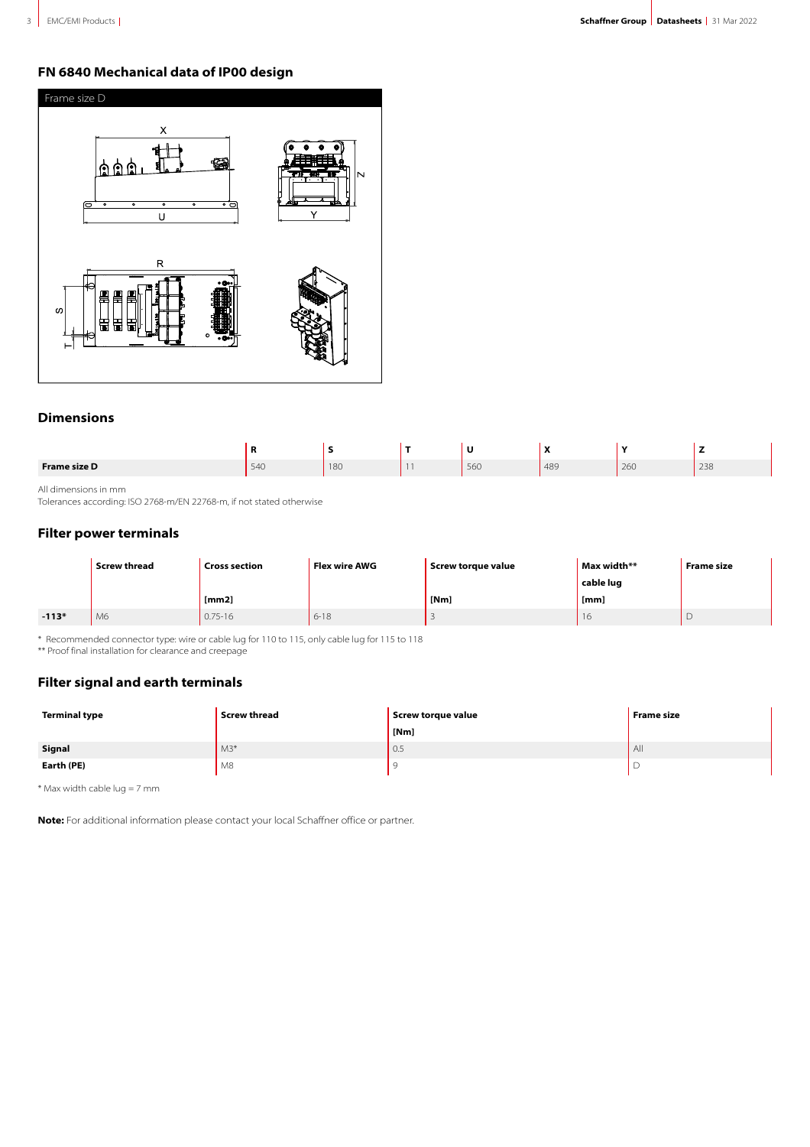# **FN 6840 Mechanical data of IP00 design**



# **Dimensions**

|                     |     |     |     | $\mathbf{r}$<br>$\mathbf{v}$ |     | -   |
|---------------------|-----|-----|-----|------------------------------|-----|-----|
| <b>Frame size D</b> | 540 | 180 | 560 | 489                          | 260 | 238 |

All dimensions in mm

Tolerances according: ISO 2768-m/EN 22768-m, if not stated otherwise

# **Filter power terminals**

|         | <b>Screw thread</b><br><b>Cross section</b> |             | Flex wire AWG | Screw torque value | Max width** | <b>Frame size</b> |
|---------|---------------------------------------------|-------------|---------------|--------------------|-------------|-------------------|
|         |                                             |             |               |                    | cable lug   |                   |
|         |                                             | [mm2]       |               | [Nm]               | [mm]        |                   |
| $-113*$ | M6                                          | $0.75 - 16$ | $6 - 18$      |                    | 16          |                   |

\* Recommended connector type: wire or cable lug for 110 to 115, only cable lug for 115 to 118

\*\* Proof final installation for clearance and creepage

# **Filter signal and earth terminals**

| Terminal type | <b>Screw thread</b> | Screw torque value | <b>Frame size</b> |
|---------------|---------------------|--------------------|-------------------|
|               |                     | [Nm]               |                   |
| Signal        | $M3*$               | 0.5                | AII               |
| Earth (PE)    | M8                  |                    |                   |

\* Max width cable lug = 7 mm

**Note:** For additional information please contact your local Schaffner office or partner.